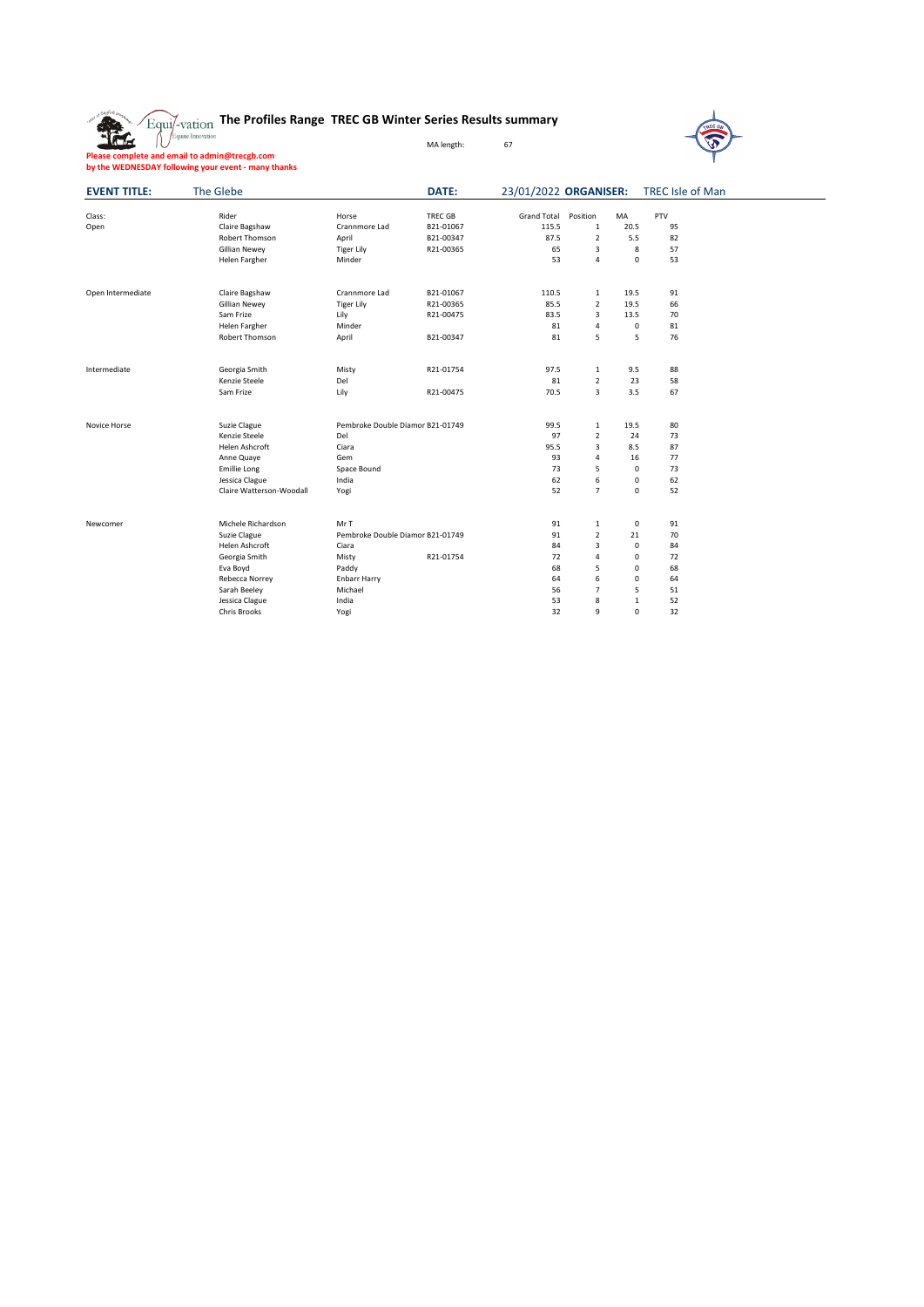| o English in        | The Profiles Range TREC GB Winter Series Results summary<br>Equi/-vation |                                  |                |                       |                         |              | REC G                   |  |
|---------------------|--------------------------------------------------------------------------|----------------------------------|----------------|-----------------------|-------------------------|--------------|-------------------------|--|
|                     | Equine Innovation                                                        |                                  | MA length:     | 67                    |                         |              |                         |  |
|                     | Please complete and email to admin@trecgb.com                            |                                  |                |                       |                         |              |                         |  |
|                     | by the WEDNESDAY following your event - many thanks                      |                                  |                |                       |                         |              |                         |  |
| <b>EVENT TITLE:</b> | <b>The Glebe</b>                                                         |                                  | DATE:          | 23/01/2022 ORGANISER: |                         |              | <b>TREC Isle of Man</b> |  |
| Class:              | Rider                                                                    | Horse                            | <b>TREC GB</b> | <b>Grand Total</b>    | Position                | MA           | PTV                     |  |
| Open                | Claire Bagshaw                                                           | Crannmore Lad                    | B21-01067      | 115.5                 | $\mathbf 1$             | 20.5         | 95                      |  |
|                     | Robert Thomson                                                           | April                            | B21-00347      | 87.5                  | $\overline{2}$          | 5.5          | 82                      |  |
|                     | Gillian Newey                                                            | <b>Tiger Lily</b>                | R21-00365      | 65                    | 3                       | 8            | 57                      |  |
|                     | Helen Fargher                                                            | Minder                           |                | 53                    | $\overline{4}$          | $\mathbf 0$  | 53                      |  |
|                     |                                                                          |                                  |                |                       |                         |              |                         |  |
| Open Intermediate   | Claire Bagshaw                                                           | Crannmore Lad                    | B21-01067      | 110.5                 | 1                       | 19.5         | 91                      |  |
|                     | <b>Gillian Newey</b>                                                     | <b>Tiger Lily</b>                | R21-00365      | 85.5                  | $\overline{2}$          | 19.5         | 66                      |  |
|                     | Sam Frize                                                                | Lily                             | R21-00475      | 83.5                  | $\overline{3}$          | 13.5         | 70                      |  |
|                     | Helen Fargher                                                            | Minder                           |                | 81                    | $\overline{4}$          | $\mathbf 0$  | 81                      |  |
|                     | Robert Thomson                                                           | April                            | B21-00347      | 81                    | 5                       | 5            | 76                      |  |
|                     |                                                                          |                                  |                |                       |                         |              |                         |  |
| Intermediate        | Georgia Smith                                                            | Misty                            | R21-01754      | 97.5                  | 1                       | 9.5          | 88                      |  |
|                     | Kenzie Steele                                                            | Del                              |                | 81                    | $\overline{2}$          | 23           | 58                      |  |
|                     | Sam Frize                                                                | Lily                             | R21-00475      | 70.5                  | $\overline{\mathbf{3}}$ | 3.5          | 67                      |  |
|                     |                                                                          |                                  |                |                       |                         |              |                         |  |
| Novice Horse        | Suzie Clague                                                             | Pembroke Double Diamor B21-01749 |                | 99.5                  | $\mathbf{1}$            | 19.5         | 80                      |  |
|                     | Kenzie Steele                                                            | Del                              |                | 97                    | $\overline{2}$          | 24           | 73                      |  |
|                     | Helen Ashcroft                                                           | Ciara                            |                | 95.5                  | 3                       | 8.5          | 87                      |  |
|                     | Anne Quaye                                                               | Gem                              |                | 93                    | 4                       | 16           | 77                      |  |
|                     | <b>Emillie Long</b>                                                      | Space Bound                      |                | 73                    | 5                       | $\mathbf 0$  | 73                      |  |
|                     | Jessica Clague                                                           | India                            |                | 62                    | 6                       | 0            | 62                      |  |
|                     | Claire Watterson-Woodall                                                 | Yogi                             |                | 52                    | $\overline{7}$          | $\mathbf 0$  | 52                      |  |
|                     |                                                                          |                                  |                |                       |                         |              |                         |  |
| Newcomer            | Michele Richardson                                                       | Mr T                             |                | 91                    | 1                       | 0            | 91                      |  |
|                     | Suzie Clague                                                             | Pembroke Double Diamor B21-01749 |                | 91                    | $\overline{2}$          | 21           | 70                      |  |
|                     | Helen Ashcroft                                                           | Ciara                            |                | 84                    | 3                       | 0            | 84                      |  |
|                     | Georgia Smith                                                            | Misty                            | R21-01754      | 72                    | $\overline{4}$          | $\mathbf 0$  | 72                      |  |
|                     | Eva Boyd                                                                 | Paddy                            |                | 68                    | 5                       | $\mathbf 0$  | 68                      |  |
|                     | Rebecca Norrey                                                           | <b>Enbarr Harry</b>              |                | 64                    | 6                       | $\mathbf 0$  | 64                      |  |
|                     | Sarah Beeley                                                             | Michael                          |                | 56                    | $\overline{7}$          | 5            | 51                      |  |
|                     | Jessica Clague                                                           | India                            |                | 53                    | 8                       | $\mathbf{1}$ | 52                      |  |
|                     | Chris Brooks                                                             | Yogi                             |                | 32                    | 9                       | $\Omega$     | 32                      |  |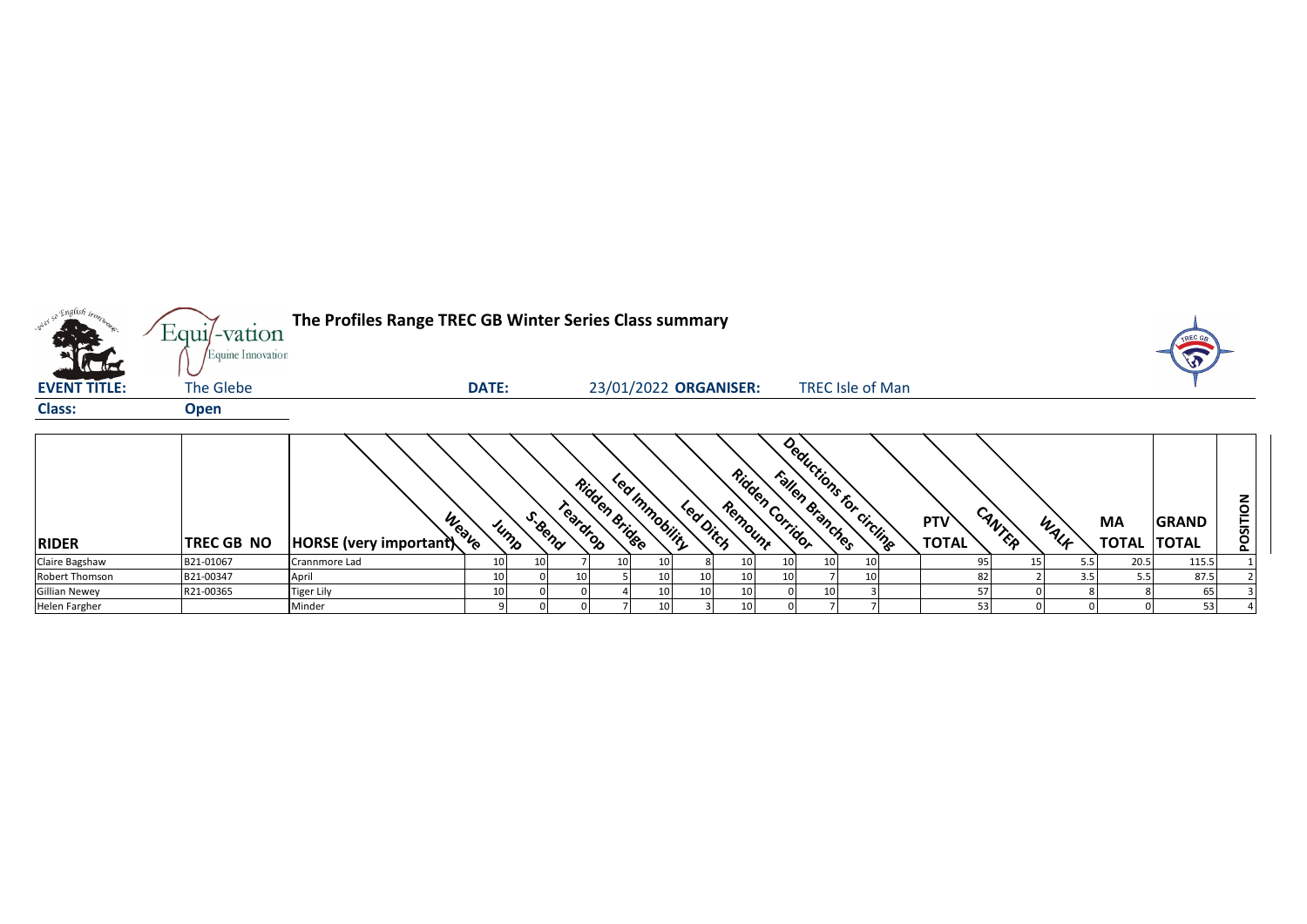

| <b>RIDER</b>         | <b>TREC GB NO</b> | Weave<br>HORSE (very important) |                 | S. Beno<br>Jump | Cardrop | Ridden Bridge | Immobility      | <sup>Leap</sup> Ditch | Ridden<br>Remount | Fallen Branches<br>"Corrigor |                 | Deductions for circling | <b>PTV</b><br><b>TOTAL</b> | CANTER | WALF | <b>MA</b><br><b>TOTAL</b> | <b>GRAND</b><br><b>ITOTAL</b> | ⊢<br><b>POSI</b> |
|----------------------|-------------------|---------------------------------|-----------------|-----------------|---------|---------------|-----------------|-----------------------|-------------------|------------------------------|-----------------|-------------------------|----------------------------|--------|------|---------------------------|-------------------------------|------------------|
| Claire Bagshaw       | B21-01067         | Crannmore Lad                   | 10 <sup>1</sup> |                 |         | 10 I          | 10              |                       |                   |                              | 10              |                         |                            |        |      | 20.5                      | 115.5                         |                  |
| Robert Thomson       | B21-00347         | April                           | 10              |                 |         |               | 10              | 10                    |                   |                              |                 |                         | 82                         |        | 3.5  |                           | 87.5                          |                  |
| <b>Gillian Newey</b> | R21-00365         | Tiger Lily                      | 10 <sup>1</sup> |                 |         |               | 10 <sub>l</sub> | 10                    |                   |                              | 10 <sup>1</sup> |                         |                            |        |      |                           |                               |                  |
| <b>Helen Fargher</b> |                   | Minder                          |                 |                 |         |               | 10              |                       |                   |                              |                 |                         | 53.                        |        |      |                           | 53                            |                  |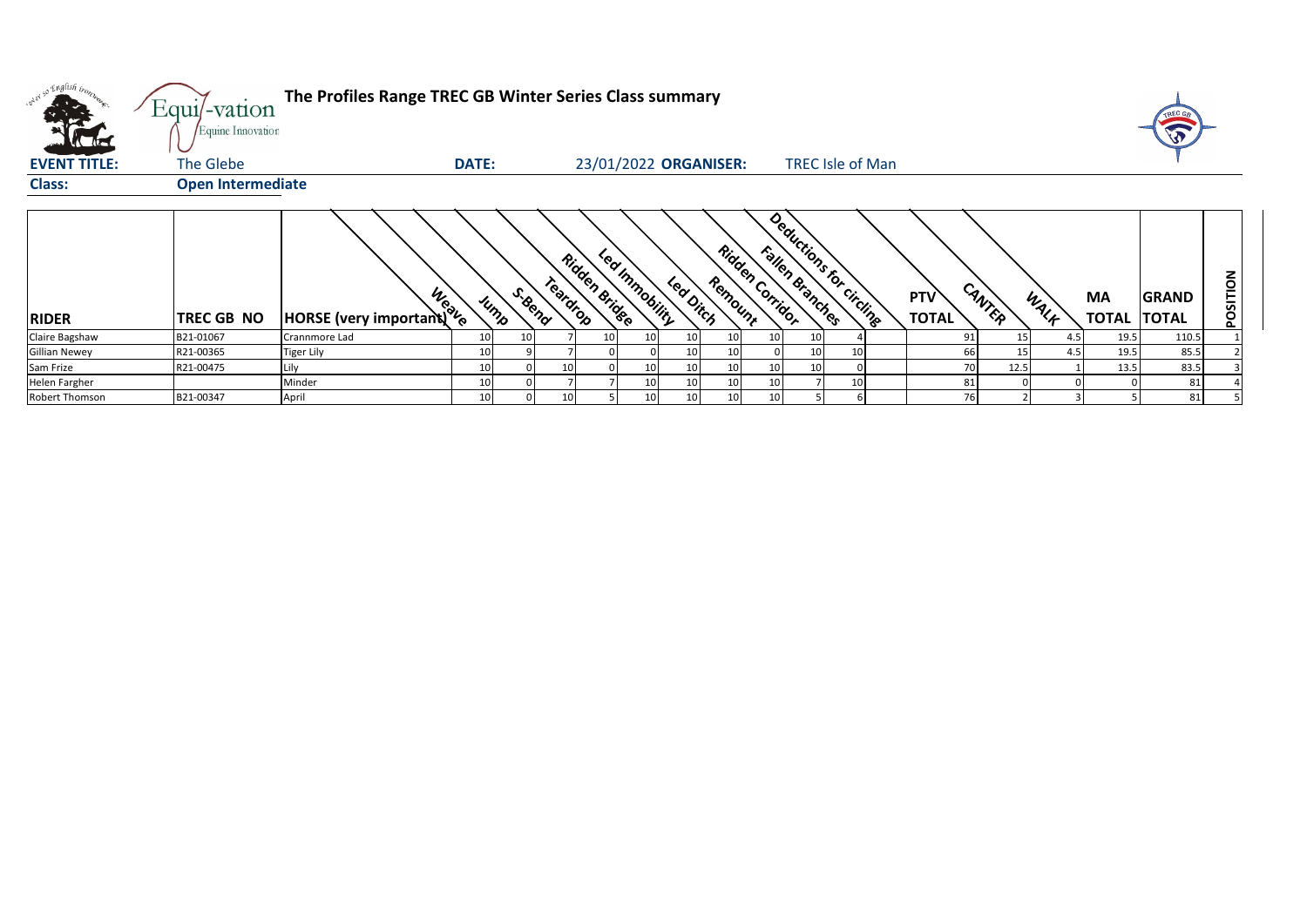| what so English isom | Equi/-vation<br>Equine Innovation | The Profiles Range TREC GB Winter Series Class summary |              |                 |          |               |                |           |                            |                                            |                 |                         |                     |        |      |                                 | TREC G       |          |
|----------------------|-----------------------------------|--------------------------------------------------------|--------------|-----------------|----------|---------------|----------------|-----------|----------------------------|--------------------------------------------|-----------------|-------------------------|---------------------|--------|------|---------------------------------|--------------|----------|
| <b>EVENT TITLE:</b>  | The Glebe                         |                                                        | <b>DATE:</b> |                 |          |               |                |           | 23/01/2022 ORGANISER:      |                                            |                 | <b>TREC Isle of Man</b> |                     |        |      |                                 |              |          |
| <b>Class:</b>        | <b>Open Intermediate</b>          |                                                        |              |                 |          |               |                |           |                            |                                            |                 |                         |                     |        |      |                                 |              |          |
| <b>RIDER</b>         | TREC GB NO                        | HORSE (very important) to                              |              | S. Bend<br>Jump | Teardrop | Ridden Bridge | Led Innobility | Led Dirch | Ridden Corridor<br>Remount | Deductions for circling<br>Fallen Branches |                 |                         | PTV<br><b>TOTAL</b> | CANTER | WALF | <b>MA</b><br><b>TOTAL TOTAL</b> | <b>GRAND</b> | POSITION |
| Claire Bagshaw       | B21-01067                         | Crannmore Lad                                          | 10           | 10              |          |               |                |           | 10                         | 10                                         | 10 <sup>1</sup> |                         | 91                  |        | 4.5  | 19.5                            | 110.5        |          |
| <b>Gillian Newey</b> | R21-00365                         | Tiger Lily                                             | 10           |                 |          |               |                |           | 10                         |                                            | 10 <sup>1</sup> | 10                      | 66                  |        | 4.5  | 19.5                            | 85.5         |          |
| Sam Frize            | R21-00475                         | Lily                                                   | 10           |                 | 10       |               |                | 10        | 10                         | 10                                         | 10 <sup>1</sup> |                         | 70                  | 12.5   |      | 13.5                            | 83.5         |          |
| Helen Fargher        |                                   | Minder                                                 | 10           |                 |          |               |                |           | 10                         | 10                                         |                 | 10                      | 81                  |        |      |                                 | 81           |          |
| Robert Thomson       | B21-00347                         | April                                                  | 10           |                 | 10       |               |                |           | 10                         | 10                                         |                 |                         | 76                  |        |      |                                 | 81           |          |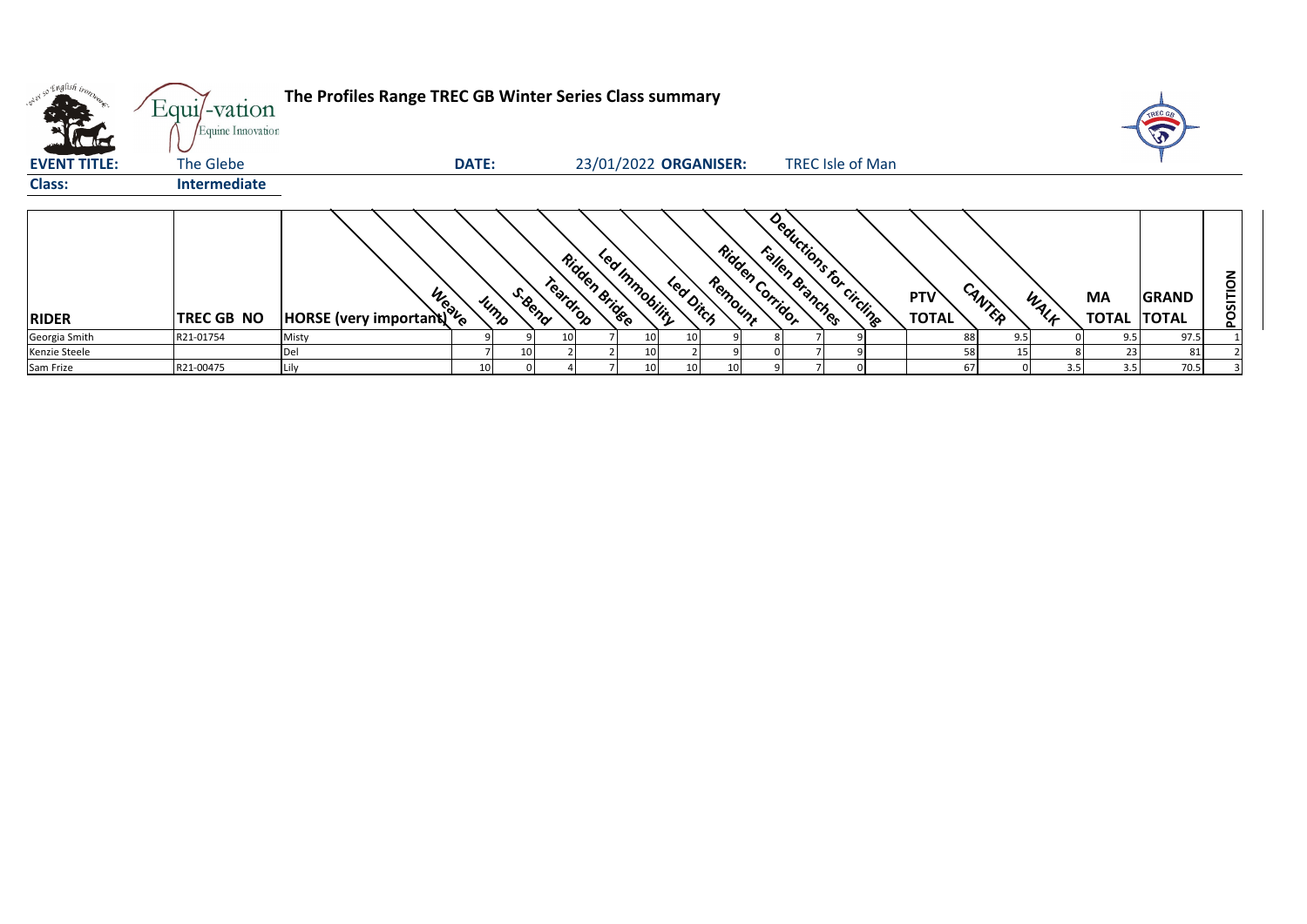|                     | Equi/-vation                   | The Profiles Range TREC GB Winter Series Class summary |              |         |          |               |                       |                      |                 |                 |                         |                            |        |      |                    |                              |          |
|---------------------|--------------------------------|--------------------------------------------------------|--------------|---------|----------|---------------|-----------------------|----------------------|-----------------|-----------------|-------------------------|----------------------------|--------|------|--------------------|------------------------------|----------|
| <b>EVENT TITLE:</b> | Equine Innovation<br>The Glebe |                                                        | <b>DATE:</b> |         |          |               | 23/01/2022 ORGANISER: |                      |                 |                 | <b>TREC Isle of Man</b> |                            |        |      |                    |                              |          |
| <b>Class:</b>       | Intermediate                   |                                                        |              |         |          |               |                       |                      |                 |                 |                         |                            |        |      |                    |                              |          |
| <b>RIDER</b>        | <b>TREC GB NO</b>              | HORSE (very important) to                              | Jump         | S. Bend | Teardrop | Ridden Bridge | Led Inmobility        | Remount<br>Led Ditch | Ridden Corridor | Fallen Branches | Deductions for circling | <b>PTV</b><br><b>TOTAL</b> | CANTER | WALK | MA<br><b>TOTAL</b> | <b>GRAND</b><br><b>TOTAL</b> | POSITION |
| Georgia Smith       | R21-01754                      | Misty                                                  |              |         |          |               | 10                    |                      |                 |                 |                         | 88                         | 9.5    |      | 9.5                | 97.5                         |          |
| Kenzie Steele       |                                | Del                                                    |              |         |          |               |                       |                      |                 |                 |                         | 58                         |        |      |                    |                              |          |
| Sam Frize           | R21-00475                      | Lily                                                   | 10           |         |          |               |                       |                      |                 |                 |                         | 67                         |        | 3.5  | 3.5                | 70.5                         |          |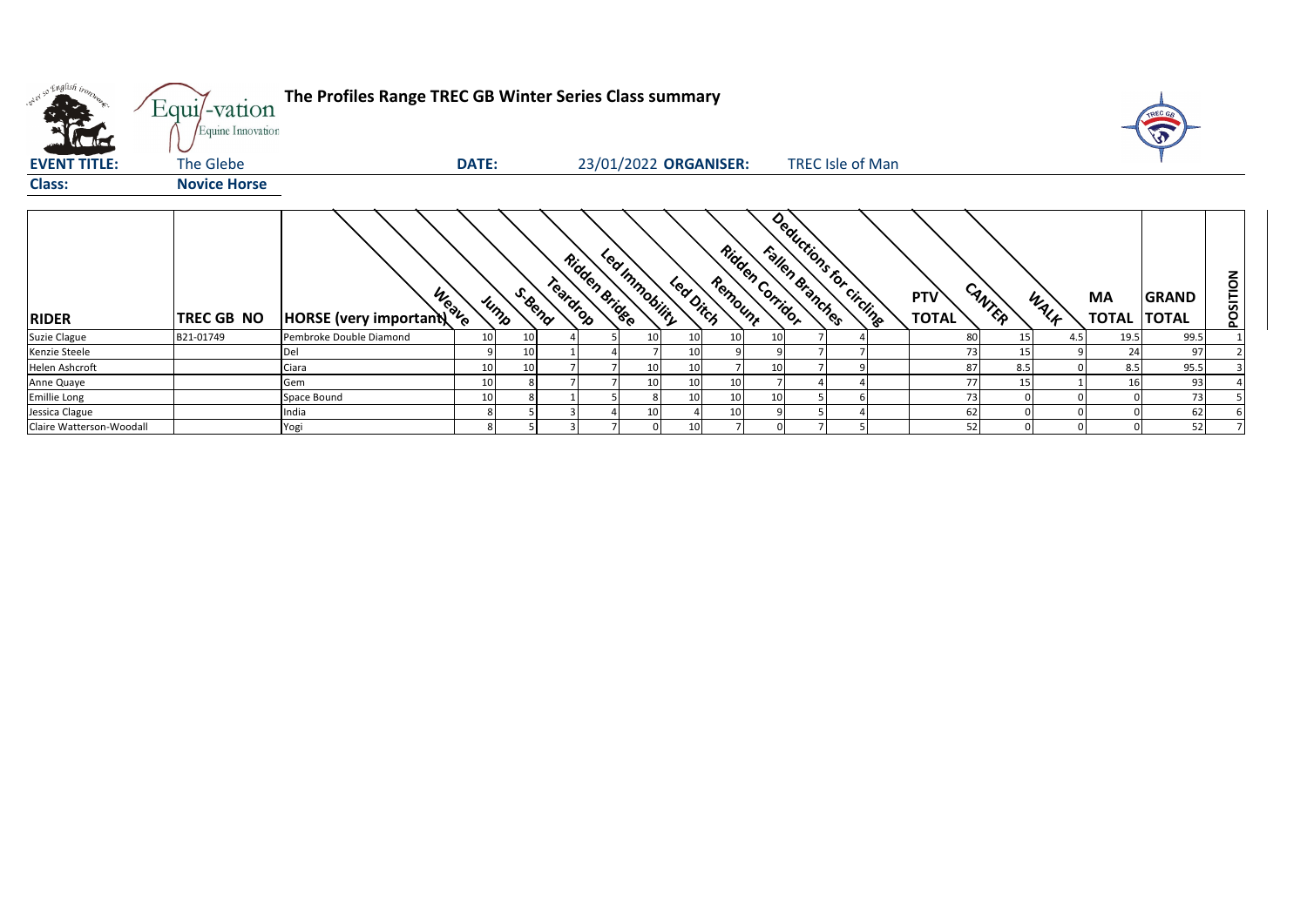| w <sup>ed 50</sup> English tronn. | Equi/-vation<br>Equine Innovation | The Profiles Range TREC GB Winter Series Class summary |              |                 |          |               |                       |                       |         |                                    |                         |                            |        |      |                           | TREC GE                      |          |
|-----------------------------------|-----------------------------------|--------------------------------------------------------|--------------|-----------------|----------|---------------|-----------------------|-----------------------|---------|------------------------------------|-------------------------|----------------------------|--------|------|---------------------------|------------------------------|----------|
| <b>EVENT TITLE:</b>               | The Glebe                         |                                                        | <b>DATE:</b> |                 |          |               |                       | 23/01/2022 ORGANISER: |         |                                    | TREC Isle of Man        |                            |        |      |                           |                              |          |
| <b>Class:</b>                     | <b>Novice Horse</b>               |                                                        |              |                 |          |               |                       |                       |         |                                    |                         |                            |        |      |                           |                              |          |
| <b>RIDER</b>                      | <b>TREC GB NO</b>                 | HORSE (very important)                                 |              | S. Bend<br>Jump | Teardrop | Ridden Bridge | <b>Led Innobility</b> | Led Ditch             | Remount | Ridden Corridor<br>Fallen Branches | Deductions for circling | <b>PTV</b><br><b>TOTAL</b> | CANTER | WALK | <b>MA</b><br><b>TOTAL</b> | <b>GRAND</b><br><b>TOTAL</b> | POSITION |
| <b>Suzie Clague</b>               | B21-01749                         | Pembroke Double Diamond                                | 10           | 10              |          |               | 10 <sup>1</sup>       | 10                    |         |                                    |                         | 80                         | 15     | 4.5  | 19.5                      | 99.5                         |          |
| Kenzie Steele                     |                                   | Del                                                    |              | 10 <sup>1</sup> |          |               |                       | 10                    |         |                                    |                         | 73                         | 15     |      | 24                        | 97                           |          |
| Helen Ashcroft                    |                                   | Ciara                                                  | 10           | 10 <sup>1</sup> |          |               | 10 <sup>1</sup>       |                       |         |                                    |                         | 87                         | 8.5    |      | 8.5                       | 95.5                         |          |
| Anne Quaye                        |                                   | Gem                                                    | 10           |                 |          |               | 10                    |                       |         |                                    |                         | 77                         | 15     |      | 16                        | 93                           |          |
| <b>Emillie Long</b>               |                                   | Space Bound                                            | 10           |                 |          |               |                       | 10                    | 10      |                                    |                         | 73                         |        |      |                           | 73                           |          |
| Jessica Clague                    |                                   | India                                                  |              |                 |          |               | 10                    |                       |         |                                    |                         | 62                         |        |      |                           | 62                           |          |
| Claire Watterson-Woodall          |                                   | Yogi                                                   | 8            |                 |          |               |                       |                       |         |                                    |                         | 52                         |        |      |                           | 52                           |          |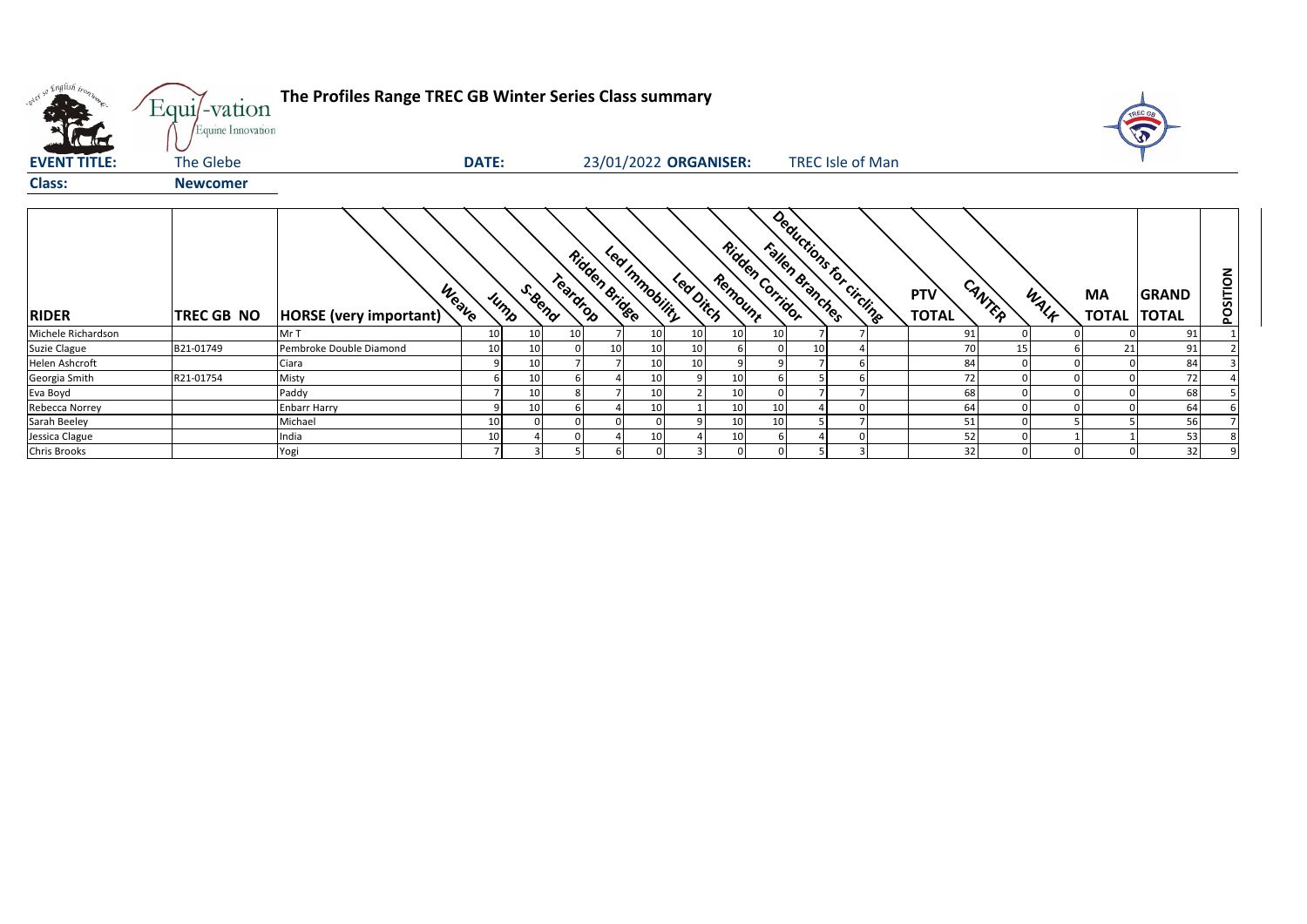| what so English bonn | Equi/-vation<br>Equine Innovation | The Profiles Range TREC GB Winter Series Class summary |              |                 |          |               |                |                       |         |                                    |                         |  |                            |        |      |           | TREC G                             |          |
|----------------------|-----------------------------------|--------------------------------------------------------|--------------|-----------------|----------|---------------|----------------|-----------------------|---------|------------------------------------|-------------------------|--|----------------------------|--------|------|-----------|------------------------------------|----------|
| <b>EVENT TITLE:</b>  | The Glebe                         |                                                        | <b>DATE:</b> |                 |          |               |                | 23/01/2022 ORGANISER: |         |                                    | <b>TREC Isle of Man</b> |  |                            |        |      |           |                                    |          |
| <b>Class:</b>        | <b>Newcomer</b>                   |                                                        |              |                 |          |               |                |                       |         |                                    |                         |  |                            |        |      |           |                                    |          |
| <b>RIDER</b>         | TREC GB NO                        | HORSE (very important)                                 | Weave        | S. Bend<br>Jump | Teardrop | Ridden Bridge | Led Innobility | Leadinch              | Remount | Ridden Corridor<br>Fallen Branches | Deductions for circling |  | <b>PTV</b><br><b>TOTAL</b> | CANTER | WALK | <b>MA</b> | <b>GRAND</b><br><b>TOTAL TOTAL</b> | POSITION |
| Michele Richardson   |                                   | Mr T                                                   | 10           | 10              | 10       |               | 10             | 10                    | 10      | 10                                 |                         |  | 91                         |        |      |           | 91                                 |          |
| Suzie Clague         | B21-01749                         | Pembroke Double Diamond                                | 10           | 10              |          | 10            | 10             | 10                    |         |                                    | 10                      |  | 70                         |        | 15   | 21        | 91                                 |          |
| Helen Ashcroft       |                                   | Ciara                                                  |              | 10              |          |               | 10             | 10                    |         | 9                                  |                         |  | 84                         |        |      |           | 84                                 |          |
| Georgia Smith        | R21-01754                         | Misty                                                  |              | 10              |          |               | 10             |                       | 10      |                                    |                         |  | 72                         |        |      |           | 72                                 |          |
| Eva Boyd             |                                   | Paddy                                                  |              | 10              |          |               | 10             |                       | 10      |                                    |                         |  | 68                         |        |      |           | 68                                 |          |
| Rebecca Norrey       |                                   | <b>Enbarr Harry</b>                                    |              | 10              |          |               | 10             |                       | 10      | 10                                 |                         |  | 64                         |        |      |           | 64                                 |          |
| Sarah Beeley         |                                   | Michael                                                | 10           |                 |          |               |                |                       | 10      | 10                                 |                         |  | 51                         |        |      |           | 56                                 |          |
| Jessica Clague       |                                   | ndia                                                   | 10           |                 |          |               | 10             |                       | 10      |                                    |                         |  | 52                         |        |      |           | 53                                 |          |
| <b>Chris Brooks</b>  |                                   | Yogi                                                   |              |                 |          |               |                |                       |         |                                    |                         |  | 32                         |        |      |           | 32                                 |          |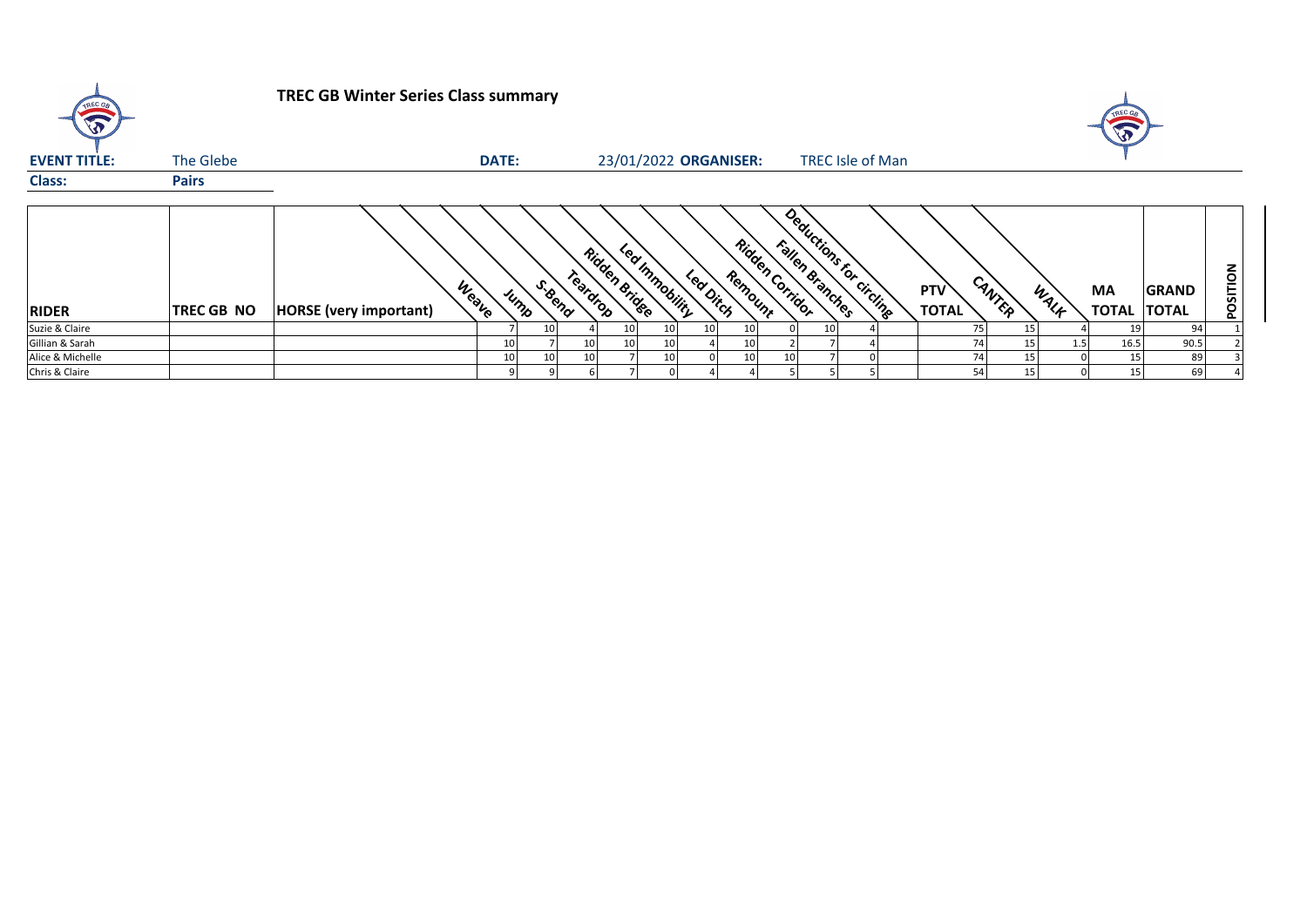| TREC GB             |                   | <b>TREC GB Winter Series Class summary</b> |                 |                |          |               |                 |                 |                            |                                            |  |                            |        |    |      | TREC GA                   |                              |          |
|---------------------|-------------------|--------------------------------------------|-----------------|----------------|----------|---------------|-----------------|-----------------|----------------------------|--------------------------------------------|--|----------------------------|--------|----|------|---------------------------|------------------------------|----------|
| <b>EVENT TITLE:</b> | The Glebe         |                                            | <b>DATE:</b>    |                |          |               |                 |                 | 23/01/2022 ORGANISER:      | <b>TREC Isle of Man</b>                    |  |                            |        |    |      |                           |                              |          |
| <b>Class:</b>       | <b>Pairs</b>      |                                            |                 |                |          |               |                 |                 |                            |                                            |  |                            |        |    |      |                           |                              |          |
| <b>RIDER</b>        | <b>TREC GB NO</b> | Weave<br><b>HORSE</b> (very important)     |                 | S-Bend<br>Jump | Teardrop | Ridden Bridge | Led Immobility  | Leading         | Ridden Corridor<br>Remount | Deductions for circling<br>Fallen Branches |  | <b>PTV</b><br><b>TOTAL</b> | CANTER |    | WALK | <b>MA</b><br><b>TOTAL</b> | <b>GRAND</b><br><b>TOTAL</b> | POSITION |
| Suzie & Claire      |                   |                                            |                 |                |          | 10            | 10 <sup>1</sup> | 10 <sub>1</sub> | 10                         | 10                                         |  |                            | 75     |    |      |                           | 94                           |          |
| Gillian & Sarah     |                   |                                            | 10              |                |          | 10            | 10              |                 | 10                         |                                            |  |                            | 74     |    | 1.5  | 16.5                      | 90.5                         |          |
| Alice & Michelle    |                   |                                            | 10 <sup>1</sup> |                |          |               | 10 <sub>1</sub> |                 | 10                         |                                            |  |                            | 74     | 15 |      |                           | 89                           |          |
| Chris & Claire      |                   |                                            |                 |                |          |               |                 |                 |                            |                                            |  |                            | 54     | 15 |      |                           | 69                           |          |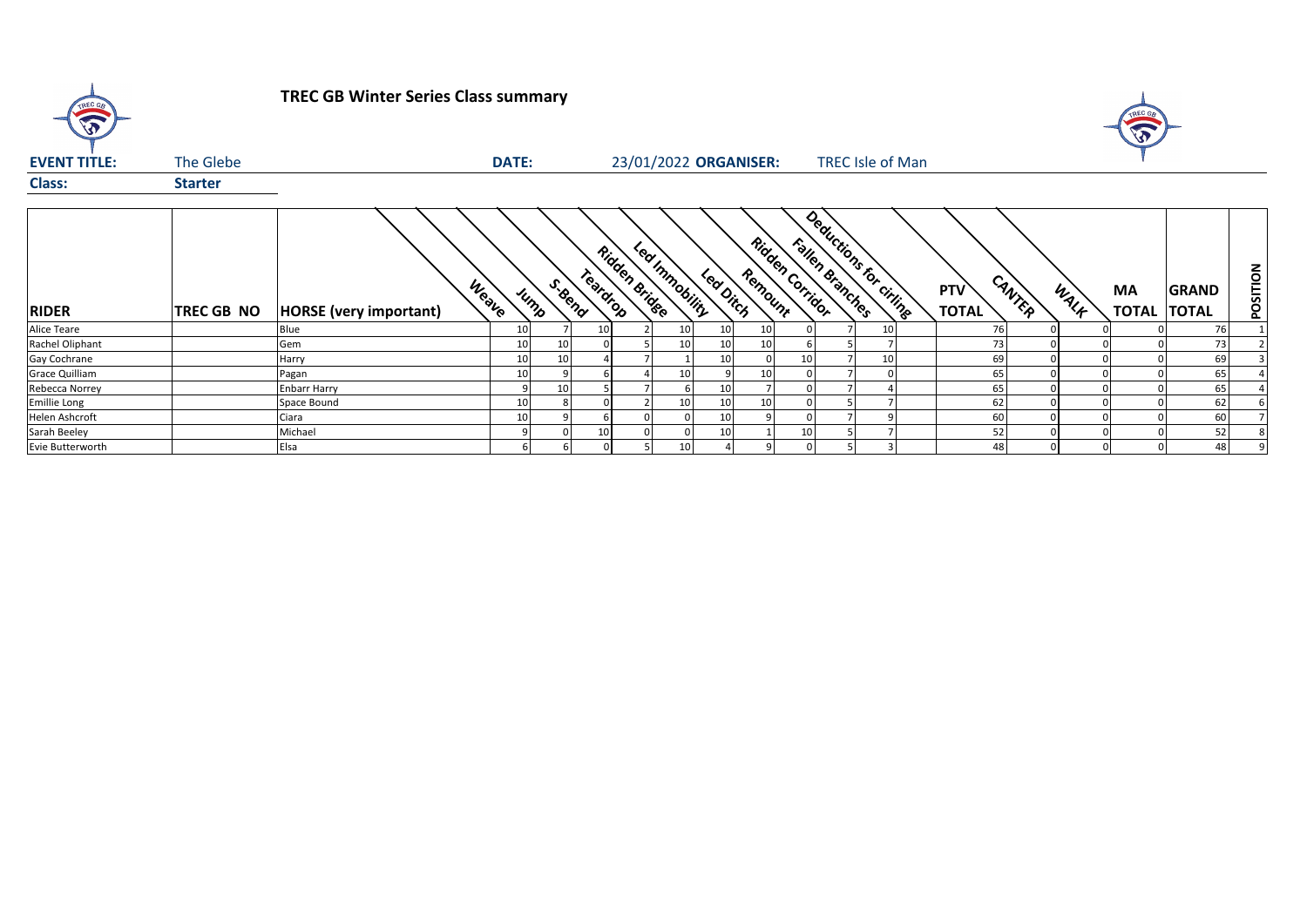| TREC GB             |                | <b>TREC GB Winter Series Class summary</b>    |                 |        |                           |                |                       |         |                 |                 |                        |                     |        |      |                           |                              |                 |
|---------------------|----------------|-----------------------------------------------|-----------------|--------|---------------------------|----------------|-----------------------|---------|-----------------|-----------------|------------------------|---------------------|--------|------|---------------------------|------------------------------|-----------------|
| <b>EVENT TITLE:</b> | The Glebe      |                                               | <b>DATE:</b>    |        |                           |                | 23/01/2022 ORGANISER: |         |                 |                 | TREC Isle of Man       |                     |        |      |                           |                              |                 |
| <b>Class:</b>       | <b>Starter</b> |                                               |                 |        |                           |                |                       |         |                 |                 |                        |                     |        |      |                           |                              |                 |
| <b>RIDER</b>        | TREC GB NO     | <b>Weave</b><br><b>HORSE</b> (very important) | Jump            | S.Bend | Ridden Bridge<br>Teardrop | Led Immobility | Leading               | Remount | Ridden Corridor | Fallen Branches | Deductions for Chinage | PTV<br><b>TOTAL</b> | CANTER | WALK | <b>MA</b><br><b>TOTAL</b> | <b>GRAND</b><br><b>TOTAL</b> | <b>POSITION</b> |
| Alice Teare         |                | Blue                                          | 10              |        |                           | 10             | 10                    | 10      |                 |                 | 10                     | 76                  |        |      |                           | 76                           |                 |
| Rachel Oliphant     |                | Gem                                           | 10 <sup>1</sup> | 10     |                           | 10             | 10                    | 10      |                 |                 |                        | 73                  |        |      |                           | 73                           |                 |
| Gay Cochrane        |                | Harry                                         | 10              | 10     |                           |                | 10                    |         | 10              |                 |                        | 69                  |        |      |                           | 69                           |                 |
| Grace Quilliam      |                | Pagan                                         | 10 <sup>1</sup> | 9      |                           | 10             |                       | 10      |                 |                 |                        | 65                  |        |      |                           | 65                           |                 |
| Rebecca Norrey      |                | <b>Enbarr Harry</b>                           |                 | 10     |                           |                | 10                    |         |                 |                 |                        | 65                  |        |      |                           | 65                           |                 |
| <b>Emillie Long</b> |                | Space Bound                                   | 10              |        |                           | 10             | 10                    | 10      |                 |                 |                        | 62                  |        |      |                           | 62                           |                 |
| Helen Ashcroft      |                | Ciara                                         | 10              |        |                           |                | 10                    |         |                 |                 |                        | 60                  |        |      |                           | 60                           |                 |
| Sarah Beeley        |                | Michael                                       |                 |        |                           |                | 10                    |         | 10              |                 |                        | 52                  |        |      |                           | 52                           |                 |
| Evie Butterworth    |                | Elsa                                          |                 |        |                           | 10             |                       |         |                 |                 |                        | 48                  |        |      |                           | 48                           |                 |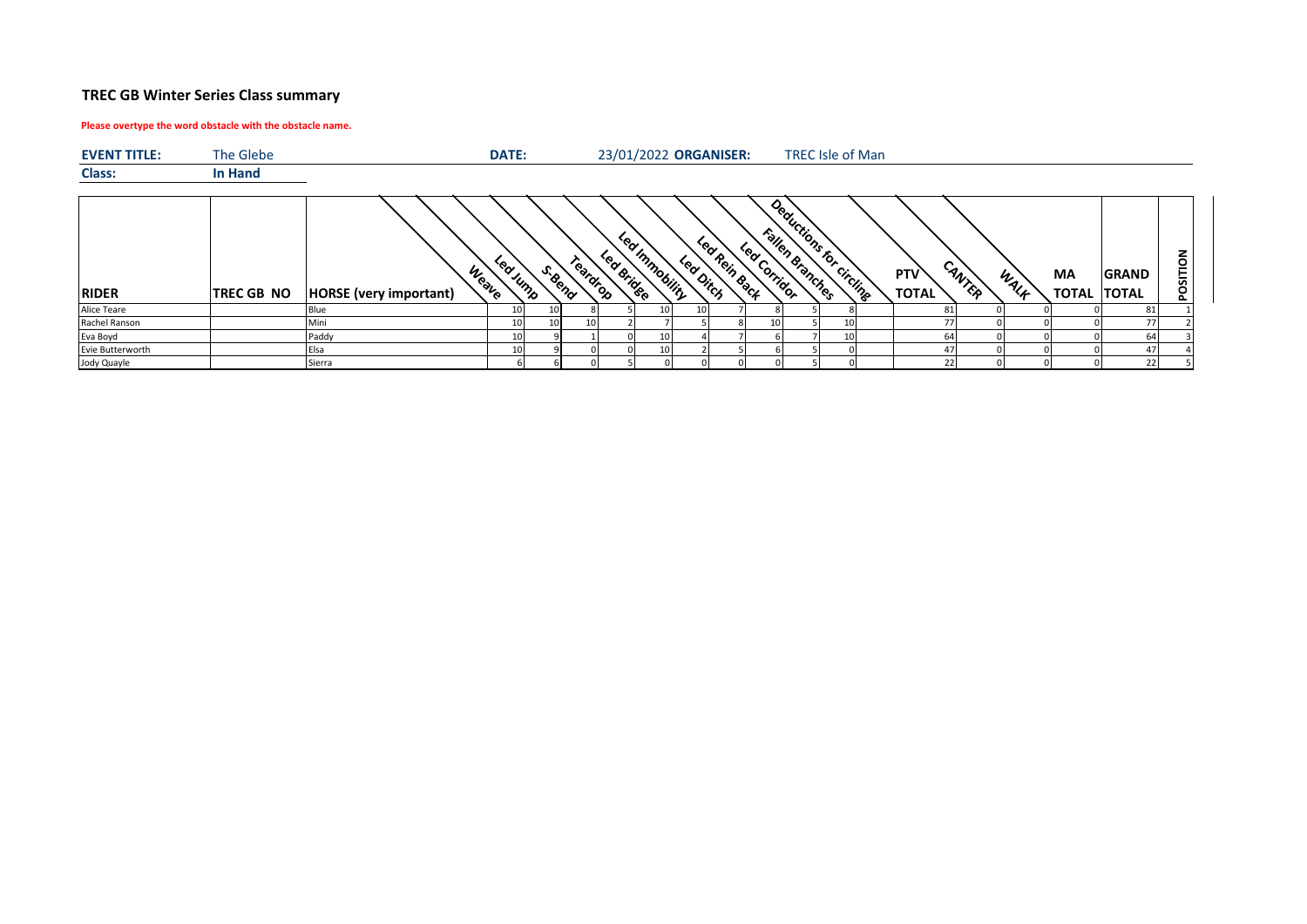## **TREC GB Winter Series Class summary**

## **Please overtype the word obstacle with the obstacle name.**

| <b>EVENT TITLE:</b> | The Glebe         |                                        | DATE:     |                     |            |                | 23/01/2022 ORGANISER: |               |               |                 | TREC Isle of Man        |                            |        |      |                    |                              |          |
|---------------------|-------------------|----------------------------------------|-----------|---------------------|------------|----------------|-----------------------|---------------|---------------|-----------------|-------------------------|----------------------------|--------|------|--------------------|------------------------------|----------|
| Class:              | <b>In Hand</b>    |                                        |           |                     |            |                |                       |               |               |                 |                         |                            |        |      |                    |                              |          |
| <b>RIDER</b>        | <b>TREC GB NO</b> | Weave<br><b>HORSE</b> (very important) | Led Junto | Teardrop<br>S. Bend | Led Bridge | Led Immobility | Led Ditch             | Led Rein Back | Lear Corridor | Fallen Branches | Deductions for circuits | <b>PTV</b><br><b>TOTAL</b> | CANTER | WALF | MA<br><b>TOTAL</b> | <b>GRAND</b><br><b>TOTAL</b> | POSITION |
| Alice Teare         |                   | Blue                                   |           |                     |            | 10             | 10                    |               |               |                 |                         |                            |        |      |                    | 81                           |          |
| Rachel Ranson       |                   | Mini                                   |           | 10                  |            |                |                       |               |               |                 | 10                      | 77                         |        |      |                    | 77                           |          |
| Eva Boyd            |                   | Paddy                                  |           |                     |            | 10             |                       |               |               |                 | 10 <sup>1</sup>         | 64                         |        |      |                    | 64                           |          |
| Evie Butterworth    |                   | Elsa                                   |           |                     |            | 10             |                       |               |               |                 |                         | 47                         |        |      |                    | 47                           |          |
| Jody Quayle         |                   | Sierra                                 |           |                     |            |                |                       |               |               |                 |                         | 22                         |        |      |                    | 22                           |          |